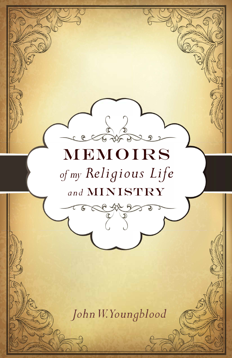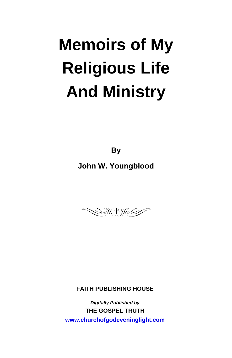# **Memoirs of My Religious Life And Ministry**

**By**

**John W. Youngblood** 



#### **FAITH PUBLISHING HOUSE**

*Digitally Published by*  **THE GOSPEL TRUTH <www.churchofgodeveninglight.com>**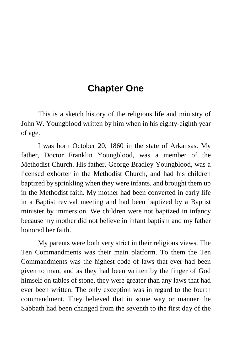# **Chapter One**

This is a sketch history of the religious life and ministry of John W. Youngblood written by him when in his eighty-eighth year of age.

I was born October 20, 1860 in the state of Arkansas. My father, Doctor Franklin Youngblood, was a member of the Methodist Church. His father, George Bradley Youngblood, was a licensed exhorter in the Methodist Church, and had his children baptized by sprinkling when they were infants, and brought them up in the Methodist faith. My mother had been converted in early life in a Baptist revival meeting and had been baptized by a Baptist minister by immersion. We children were not baptized in infancy because my mother did not believe in infant baptism and my father honored her faith.

My parents were both very strict in their religious views. The Ten Commandments was their main platform. To them the Ten Commandments was the highest code of laws that ever had been given to man, and as they had been written by the finger of God himself on tables of stone, they were greater than any laws that had ever been written. The only exception was in regard to the fourth commandment. They believed that in some way or manner the Sabbath had been changed from the seventh to the first day of the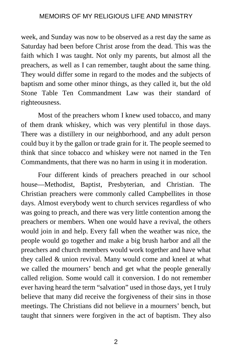week, and Sunday was now to be observed as a rest day the same as Saturday had been before Christ arose from the dead. This was the faith which I was taught. Not only my parents, but almost all the preachers, as well as I can remember, taught about the same thing. They would differ some in regard to the modes and the subjects of baptism and some other minor things, as they called it, but the old Stone Table Ten Commandment Law was their standard of righteousness.

Most of the preachers whom I knew used tobacco, and many of them drank whiskey, which was very plentiful in those days. There was a distillery in our neighborhood, and any adult person could buy it by the gallon or trade grain for it. The people seemed to think that since tobacco and whiskey were not named in the Ten Commandments, that there was no harm in using it in moderation.

Four different kinds of preachers preached in our school house—Methodist, Baptist, Presbyterian, and Christian. The Christian preachers were commonly called Campbellites in those days. Almost everybody went to church services regardless of who was going to preach, and there was very little contention among the preachers or members. When one would have a revival, the others would join in and help. Every fall when the weather was nice, the people would go together and make a big brush harbor and all the preachers and church members would work together and have what they called & union revival. Many would come and kneel at what we called the mourners' bench and get what the people generally called religion. Some would call it conversion. I do not remember ever having heard the term "salvation" used in those days, yet I truly believe that many did receive the forgiveness of their sins in those meetings. The Christians did not believe in a mourners' bench, but taught that sinners were forgiven in the act of baptism. They also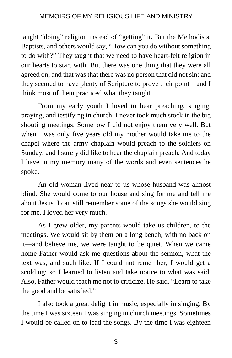taught "doing" religion instead of "getting" it. But the Methodists, Baptists, and others would say, "How can you do without something to do with?" They taught that we need to have heart-felt religion in our hearts to start with. But there was one thing that they were all agreed on, and that was that there was no person that did not sin; and they seemed to have plenty of Scripture to prove their point—and I think most of them practiced what they taught.

From my early youth I loved to hear preaching, singing, praying, and testifying in church. I never took much stock in the big shouting meetings. Somehow I did not enjoy them very well. But when I was only five years old my mother would take me to the chapel where the army chaplain would preach to the soldiers on Sunday, and I surely did like to hear the chaplain preach. And today I have in my memory many of the words and even sentences he spoke.

An old woman lived near to us whose husband was almost blind. She would come to our house and sing for me and tell me about Jesus. I can still remember some of the songs she would sing for me. I loved her very much.

As I grew older, my parents would take us children, to the meetings. We would sit by them on a long bench, with no back on it—and believe me, we were taught to be quiet. When we came home Father would ask me questions about the sermon, what the text was, and such like. If I could not remember, I would get a scolding; so I learned to listen and take notice to what was said. Also, Father would teach me not to criticize. He said, "Learn to take the good and be satisfied."

I also took a great delight in music, especially in singing. By the time I was sixteen I was singing in church meetings. Sometimes I would be called on to lead the songs. By the time I was eighteen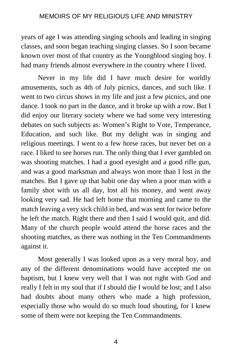years of age I was attending singing schools and leading in singing classes, and soon began teaching singing classes. So I soon became known over most of that country as the Youngblood singing boy. I had many friends almost everywhere in the country where I lived.

Never in my life did I have much desire for worldly amusements, such as 4th of July picnics, dances, and such like. I went to two circus shows in my life and just a few picnics, and one dance. I took no part in the dance, and it broke up with a row. But I did enjoy our literary society where we had some very interesting debates on such subjects as: Women's Right to Vote, Temperance, Education, and such like. But my delight was in singing and religious meetings. I went to a few horse races, but never bet on a race. I liked to see horses run. The only thing that I ever gambled on was shooting matches. I had a good eyesight and a good rifle gun, and was a good marksman and always won more than I lost in the matches. But I gave up that habit one day when a poor man with a family shot with us all day, lost all his money, and went away looking very sad. He had left home that morning and came to the match leaving a very sick child in bed, and was sent for twice before he left the match. Right there and then I said I would quit, and did. Many of the church people would attend the horse races and the shooting matches, as there was nothing in the Ten Commandments against it.

Most generally I was looked upon as a very moral boy, and any of the different denominations would have accepted me on baptism, but I knew very well that I was not right with God and really I felt in my soul that if I should die I would be lost; and I also had doubts about many others who made a high profession, especially those who would do so much loud shouting, for I knew some of them were not keeping the Ten Commandments.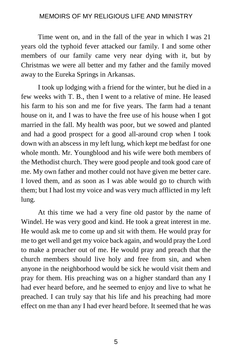Time went on, and in the fall of the year in which I was 21 years old the typhoid fever attacked our family. I and some other members of our family came very near dying with it, but by Christmas we were all better and my father and the family moved away to the Eureka Springs in Arkansas.

I took up lodging with a friend for the winter, but he died in a few weeks with T. B., then I went to a relative of mine. He leased his farm to his son and me for five years. The farm had a tenant house on it, and I was to have the free use of his house when I got married in the fall. My health was poor, but we sowed and planted and had a good prospect for a good all-around crop when I took down with an abscess in my left lung, which kept me bedfast for one whole month. Mr. Youngblood and his wife were both members of the Methodist church. They were good people and took good care of me. My own father and mother could not have given me better care. I loved them, and as soon as I was able would go to church with them; but I had lost my voice and was very much afflicted in my left lung.

At this time we had a very fine old pastor by the name of Windel. He was very good and kind. He took a great interest in me. He would ask me to come up and sit with them. He would pray for me to get well and get my voice back again, and would pray the Lord to make a preacher out of me. He would pray and preach that the church members should live holy and free from sin, and when anyone in the neighborhood would be sick he would visit them and pray for them. His preaching was on a higher standard than any I had ever heard before, and he seemed to enjoy and live to what he preached. I can truly say that his life and his preaching had more effect on me than any I had ever heard before. It seemed that he was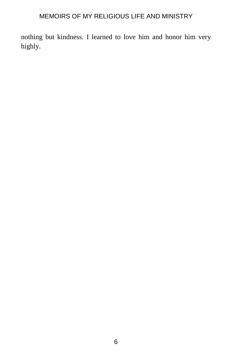nothing but kindness. I learned to love him and honor him very highly.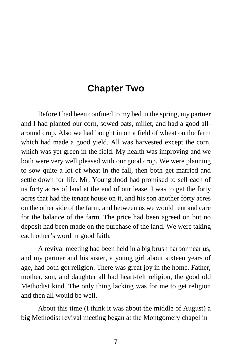# **Chapter Two**

Before I had been confined to my bed in the spring, my partner and I had planted our corn, sowed oats, millet, and had a good allaround crop. Also we had bought in on a field of wheat on the farm which had made a good yield. All was harvested except the corn, which was yet green in the field. My health was improving and we both were very well pleased with our good crop. We were planning to sow quite a lot of wheat in the fall, then both get married and settle down for life. Mr. Youngblood had promised to sell each of us forty acres of land at the end of our lease. I was to get the forty acres that had the tenant house on it, and his son another forty acres on the other side of the farm, and between us we would rent and care for the balance of the farm. The price had been agreed on but no deposit had been made on the purchase of the land. We were taking each other's word in good faith.

A revival meeting had been held in a big brush harbor near us, and my partner and his sister, a young girl about sixteen years of age, had both got religion. There was great joy in the home. Father, mother, son, and daughter all had heart-felt religion, the good old Methodist kind. The only thing lacking was for me to get religion and then all would be well.

About this time (I think it was about the middle of August) a big Methodist revival meeting began at the Montgomery chapel in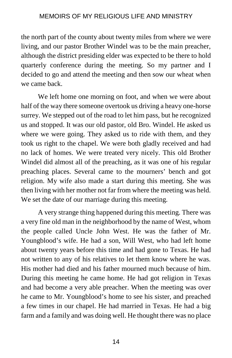the north part of the county about twenty miles from where we were living, and our pastor Brother Windel was to be the main preacher, although the district presiding elder was expected to be there to hold quarterly conference during the meeting. So my partner and I decided to go and attend the meeting and then sow our wheat when we came back.

We left home one morning on foot, and when we were about half of the way there someone overtook us driving a heavy one-horse surrey. We stepped out of the road to let him pass, but he recognized us and stopped. It was our old pastor, old Bro. Windel. He asked us where we were going. They asked us to ride with them, and they took us right to the chapel. We were both gladly received and had no lack of homes. We were treated very nicely. This old Brother Windel did almost all of the preaching, as it was one of his regular preaching places. Several came to the mourners' bench and got religion. My wife also made a start during this meeting. She was then living with her mother not far from where the meeting was held. We set the date of our marriage during this meeting.

A very strange thing happened during this meeting. There was a very fine old man in the neighborhood by the name of West, whom the people called Uncle John West. He was the father of Mr. Youngblood's wife. He had a son, Will West, who had left home about twenty years before this time and had gone to Texas. He had not written to any of his relatives to let them know where he was. His mother had died and his father mourned much because of him. During this meeting he came home. He had got religion in Texas and had become a very able preacher. When the meeting was over he came to Mr. Youngblood's home to see his sister, and preached a few times in our chapel. He had married in Texas. He had a big farm and a family and was doing well. He thought there was no place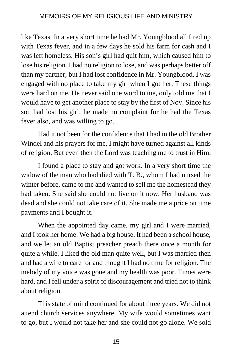like Texas. In a very short time he had Mr. Youngblood all fired up with Texas fever, and in a few days he sold his farm for cash and I was left homeless. His son's girl had quit him, which caused him to lose his religion. I had no religion to lose, and was perhaps better off than my partner; but I had lost confidence in Mr. Youngblood. I was engaged with no place to take my girl when I got her. These things were hard on me. He never said one word to me, only told me that I would have to get another place to stay by the first of Nov. Since his son had lost his girl, he made no complaint for he had the Texas fever also, and was willing to go.

Had it not been for the confidence that I had in the old Brother Windel and his prayers for me, I might have turned against all kinds of religion. But even then the Lord was teaching me to trust in Him.

I found a place to stay and got work. In a very short time the widow of the man who had died with T. B., whom I had nursed the winter before, came to me and wanted to sell me the homestead they had taken. She said she could not live on it now. Her husband was dead and she could not take care of it. She made me a price on time payments and I bought it.

When the appointed day came, my girl and I were married, and I took her home. We had a big house. It had been a school house, and we let an old Baptist preacher preach there once a month for quite a while. I liked the old man quite well, but I was married then and had a wife to care for and thought I had no time for religion. The melody of my voice was gone and my health was poor. Times were hard, and I fell under a spirit of discouragement and tried not to think about religion.

This state of mind continued for about three years. We did not attend church services anywhere. My wife would sometimes want to go, but I would not take her and she could not go alone. We sold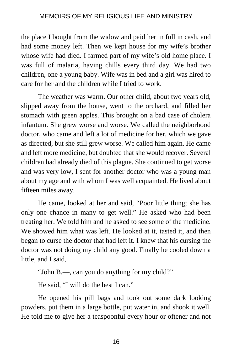the place I bought from the widow and paid her in full in cash, and had some money left. Then we kept house for my wife's brother whose wife had died. I farmed part of my wife's old home place. I was full of malaria, having chills every third day. We had two children, one a young baby. Wife was in bed and a girl was hired to care for her and the children while I tried to work.

The weather was warm. Our other child, about two years old, slipped away from the house, went to the orchard, and filled her stomach with green apples. This brought on a bad case of cholera infantum. She grew worse and worse. We called the neighborhood doctor, who came and left a lot of medicine for her, which we gave as directed, but she still grew worse. We called him again. He came and left more medicine, but doubted that she would recover. Several children had already died of this plague. She continued to get worse and was very low, I sent for another doctor who was a young man about my age and with whom I was well acquainted. He lived about fifteen miles away.

He came, looked at her and said, "Poor little thing; she has only one chance in many to get well." He asked who had been treating her. We told him and he asked to see some of the medicine. We showed him what was left. He looked at it, tasted it, and then began to curse the doctor that had left it. I knew that his cursing the doctor was not doing my child any good. Finally he cooled down a little, and I said,

"John B.—, can you do anything for my child?"

He said, "I will do the best I can."

He opened his pill bags and took out some dark looking powders, put them in a large bottle, put water in, and shook it well. He told me to give her a teaspoonful every hour or oftener and not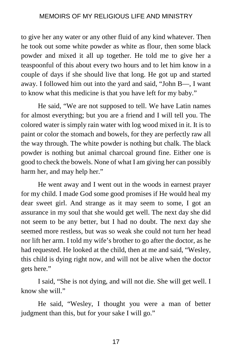to give her any water or any other fluid of any kind whatever. Then he took out some white powder as white as flour, then some black powder and mixed it all up together. He told me to give her a teaspoonful of this about every two hours and to let him know in a couple of days if she should live that long. He got up and started away. I followed him out into the yard and said, "John B—, I want to know what this medicine is that you have left for my baby."

He said, "We are not supposed to tell. We have Latin names for almost everything; but you are a friend and I will tell you. The colored water is simply rain water with log wood mixed in it. It is to paint or color the stomach and bowels, for they are perfectly raw all the way through. The white powder is nothing but chalk. The black powder is nothing but animal charcoal ground fine. Either one is good to check the bowels. None of what I am giving her can possibly harm her, and may help her."

He went away and I went out in the woods in earnest prayer for my child. I made God some good promises if He would heal my dear sweet girl. And strange as it may seem to some, I got an assurance in my soul that she would get well. The next day she did not seem to be any better, but I had no doubt. The next day she seemed more restless, but was so weak she could not turn her head nor lift her arm. I told my wife's brother to go after the doctor, as he had requested. He looked at the child, then at me and said, "Wesley, this child is dying right now, and will not be alive when the doctor gets here."

I said, "She is not dying, and will not die. She will get well. I know she will."

He said, "Wesley, I thought you were a man of better judgment than this, but for your sake I will go."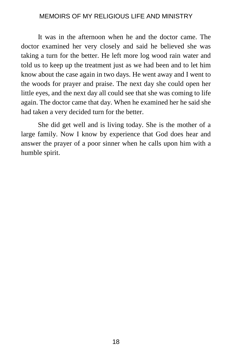It was in the afternoon when he and the doctor came. The doctor examined her very closely and said he believed she was taking a turn for the better. He left more log wood rain water and told us to keep up the treatment just as we had been and to let him know about the case again in two days. He went away and I went to the woods for prayer and praise. The next day she could open her little eyes, and the next day all could see that she was coming to life again. The doctor came that day. When he examined her he said she had taken a very decided turn for the better.

She did get well and is living today. She is the mother of a large family. Now I know by experience that God does hear and answer the prayer of a poor sinner when he calls upon him with a humble spirit.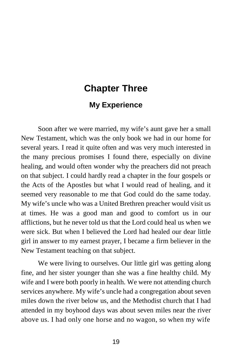# **Chapter Three**

# **My Experience**

Soon after we were married, my wife's aunt gave her a small New Testament, which was the only book we had in our home for several years. I read it quite often and was very much interested in the many precious promises I found there, especially on divine healing, and would often wonder why the preachers did not preach on that subject. I could hardly read a chapter in the four gospels or the Acts of the Apostles but what I would read of healing, and it seemed very reasonable to me that God could do the same today. My wife's uncle who was a United Brethren preacher would visit us at times. He was a good man and good to comfort us in our afflictions, but he never told us that the Lord could heal us when we were sick. But when I believed the Lord had healed our dear little girl in answer to my earnest prayer, I became a firm believer in the New Testament teaching on that subject.

We were living to ourselves. Our little girl was getting along fine, and her sister younger than she was a fine healthy child. My wife and I were both poorly in health. We were not attending church services anywhere. My wife's uncle had a congregation about seven miles down the river below us, and the Methodist church that I had attended in my boyhood days was about seven miles near the river above us. I had only one horse and no wagon, so when my wife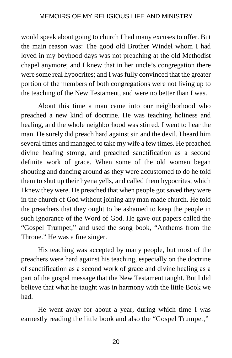would speak about going to church I had many excuses to offer. But the main reason was: The good old Brother Windel whom I had loved in my boyhood days was not preaching at the old Methodist chapel anymore; and I knew that in her uncle's congregation there were some real hypocrites; and I was fully convinced that the greater portion of the members of both congregations were not living up to the teaching of the New Testament, and were no better than I was.

About this time a man came into our neighborhood who preached a new kind of doctrine. He was teaching holiness and healing, and the whole neighborhood was stirred. I went to hear the man. He surely did preach hard against sin and the devil. I heard him several times and managed to take my wife a few times. He preached divine healing strong, and preached sanctification as a second definite work of grace. When some of the old women began shouting and dancing around as they were accustomed to do he told them to shut up their hyena yells, and called them hypocrites, which I knew they were. He preached that when people got saved they were in the church of God without joining any man made church. He told the preachers that they ought to be ashamed to keep the people in such ignorance of the Word of God. He gave out papers called the "Gospel Trumpet," and used the song book, "Anthems from the Throne." He was a fine singer.

His teaching was accepted by many people, but most of the preachers were hard against his teaching, especially on the doctrine of sanctification as a second work of grace and divine healing as a part of the gospel message that the New Testament taught. But I did believe that what he taught was in harmony with the little Book we had.

He went away for about a year, during which time I was earnestly reading the little book and also the "Gospel Trumpet,"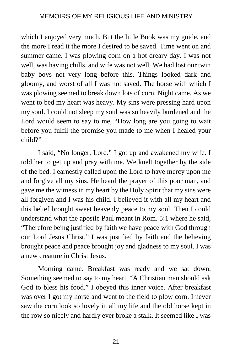which I enjoyed very much. But the little Book was my guide, and the more I read it the more I desired to be saved. Time went on and summer came. I was plowing corn on a hot dreary day. I was not well, was having chills, and wife was not well. We had lost our twin baby boys not very long before this. Things looked dark and gloomy, and worst of all I was not saved. The horse with which I was plowing seemed to break down lots of corn. Night came. As we went to bed my heart was heavy. My sins were pressing hard upon my soul. I could not sleep my soul was so heavily burdened and the Lord would seem to say to me, "How long are you going to wait before you fulfil the promise you made to me when I healed your child?"

I said, "No longer, Lord." I got up and awakened my wife. I told her to get up and pray with me. We knelt together by the side of the bed. I earnestly called upon the Lord to have mercy upon me and forgive all my sins. He heard the prayer of this poor man, and gave me the witness in my heart by the Holy Spirit that my sins were all forgiven and I was his child. I believed it with all my heart and this belief brought sweet heavenly peace to my soul. Then I could understand what the apostle Paul meant in Rom. 5:1 where he said, "Therefore being justified by faith we have peace with God through our Lord Jesus Christ." I was justified by faith and the believing brought peace and peace brought joy and gladness to my soul. I was a new creature in Christ Jesus.

Morning came. Breakfast was ready and we sat down. Something seemed to say to my heart, "A Christian man should ask God to bless his food." I obeyed this inner voice. After breakfast was over I got my horse and went to the field to plow corn. I never saw the corn look so lovely in all my life and the old horse kept in the row so nicely and hardly ever broke a stalk. It seemed like I was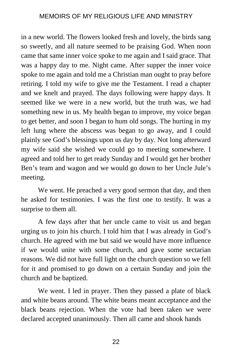in a new world. The flowers looked fresh and lovely, the birds sang so sweetly, and all nature seemed to be praising God. When noon came that same inner voice spoke to me again and I said grace. That was a happy day to me. Night came. After supper the inner voice spoke to me again and told me a Christian man ought to pray before retiring. I told my wife to give me the Testament. I read a chapter and we knelt and prayed. The days following were happy days. It seemed like we were in a new world, but the truth was, we had something new in us. My health began to improve, my voice began to get better, and soon I began to hum old songs. The hurting in my left lung where the abscess was began to go away, and I could plainly see God's blessings upon us day by day. Not long afterward my wife said she wished we could go to meeting somewhere. I agreed and told her to get ready Sunday and I would get her brother Ben's team and wagon and we would go down to her Uncle Jule's meeting.

We went. He preached a very good sermon that day, and then he asked for testimonies. I was the first one to testify. It was a surprise to them all.

A few days after that her uncle came to visit us and began urging us to join his church. I told him that I was already in God's church. He agreed with me but said we would have more influence if we would unite with some church, and gave some sectarian reasons. We did not have full light on the church question so we fell for it and promised to go down on a certain Sunday and join the church and be baptized.

We went. I led in prayer. Then they passed a plate of black and white beans around. The white beans meant acceptance and the black beans rejection. When the vote had been taken we were declared accepted unanimously. Then all came and shook hands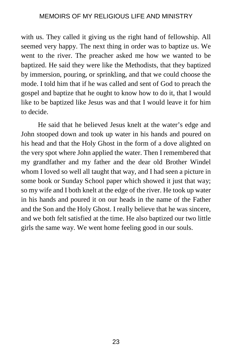with us. They called it giving us the right hand of fellowship. All seemed very happy. The next thing in order was to baptize us. We went to the river. The preacher asked me how we wanted to be baptized. He said they were like the Methodists, that they baptized by immersion, pouring, or sprinkling, and that we could choose the mode. I told him that if he was called and sent of God to preach the gospel and baptize that he ought to know how to do it, that I would like to be baptized like Jesus was and that I would leave it for him to decide.

He said that he believed Jesus knelt at the water's edge and John stooped down and took up water in his hands and poured on his head and that the Holy Ghost in the form of a dove alighted on the very spot where John applied the water. Then I remembered that my grandfather and my father and the dear old Brother Windel whom I loved so well all taught that way, and I had seen a picture in some book or Sunday School paper which showed it just that way; so my wife and I both knelt at the edge of the river. He took up water in his hands and poured it on our heads in the name of the Father and the Son and the Holy Ghost. I really believe that he was sincere, and we both felt satisfied at the time. He also baptized our two little girls the same way. We went home feeling good in our souls.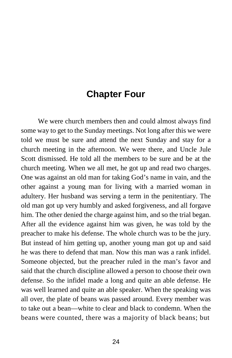# **Chapter Four**

We were church members then and could almost always find some way to get to the Sunday meetings. Not long after this we were told we must be sure and attend the next Sunday and stay for a church meeting in the afternoon. We were there, and Uncle Jule Scott dismissed. He told all the members to be sure and be at the church meeting. When we all met, he got up and read two charges. One was against an old man for taking God's name in vain, and the other against a young man for living with a married woman in adultery. Her husband was serving a term in the penitentiary. The old man got up very humbly and asked forgiveness, and all forgave him. The other denied the charge against him, and so the trial began. After all the evidence against him was given, he was told by the preacher to make his defense. The whole church was to be the jury. But instead of him getting up, another young man got up and said he was there to defend that man. Now this man was a rank infidel. Someone objected, but the preacher ruled in the man's favor and said that the church discipline allowed a person to choose their own defense. So the infidel made a long and quite an able defense. He was well learned and quite an able speaker. When the speaking was all over, the plate of beans was passed around. Every member was to take out a bean—white to clear and black to condemn. When the beans were counted, there was a majority of black beans; but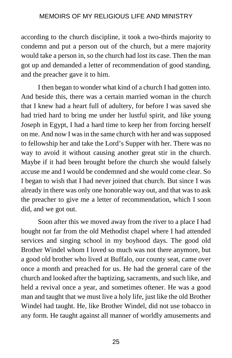according to the church discipline, it took a two-thirds majority to condemn and put a person out of the church, but a mere majority would take a person in, so the church had lost its case. Then the man got up and demanded a letter of recommendation of good standing, and the preacher gave it to him.

I then began to wonder what kind of a church I had gotten into. And beside this, there was a certain married woman in the church that I knew had a heart full of adultery, for before I was saved she had tried hard to bring me under her lustful spirit, and like young Joseph in Egypt, I had a hard time to keep her from forcing herself on me. And now I was in the same church with her and was supposed to fellowship her and take the Lord's Supper with her. There was no way to avoid it without causing another great stir in the church. Maybe if it had been brought before the church she would falsely accuse me and I would be condemned and she would come clear. So I began to wish that I had never joined that church. But since I was already in there was only one honorable way out, and that was to ask the preacher to give me a letter of recommendation, which I soon did, and we got out.

Soon after this we moved away from the river to a place I had bought not far from the old Methodist chapel where I had attended services and singing school in my boyhood days. The good old Brother Windel whom I loved so much was not there anymore, but a good old brother who lived at Buffalo, our county seat, came over once a month and preached for us. He had the general care of the church and looked after the baptizing, sacraments, and such like, and held a revival once a year, and sometimes oftener. He was a good man and taught that we must live a holy life, just like the old Brother Windel had taught. He, like Brother Windel, did not use tobacco in any form. He taught against all manner of worldly amusements and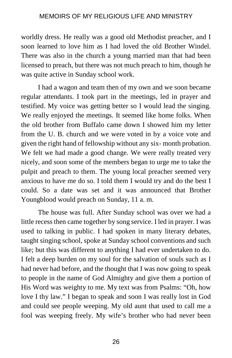worldly dress. He really was a good old Methodist preacher, and I soon learned to love him as I had loved the old Brother Windel. There was also in the church a young married man that had been licensed to preach, but there was not much preach to him, though he was quite active in Sunday school work.

I had a wagon and team then of my own and we soon became regular attendants. I took part in the meetings, led in prayer and testified. My voice was getting better so I would lead the singing. We really enjoyed the meetings. It seemed like home folks. When the old brother from Buffalo came down I showed him my letter from the U. B. church and we were voted in by a voice vote and given the right hand of fellowship without any six- month probation. We felt we had made a good change. We were really treated very nicely, and soon some of the members began to urge me to take the pulpit and preach to them. The young local preacher seemed very anxious to have me do so. I told them I would try and do the best I could. So a date was set and it was announced that Brother Youngblood would preach on Sunday, 11 a. m.

The house was full. After Sunday school was over we had a little recess then came together by song service. I led in prayer. I was used to talking in public. I had spoken in many literary debates, taught singing school, spoke at Sunday school conventions and such like; but this was different to anything I had ever undertaken to do. I felt a deep burden on my soul for the salvation of souls such as I had never had before, and the thought that I was now going to speak to people in the name of God Almighty and give them a portion of His Word was weighty to me. My text was from Psalms: "Oh, how love I thy law." I began to speak and soon I was really lost in God and could see people weeping. My old aunt that used to call me a fool was weeping freely. My wife's brother who had never been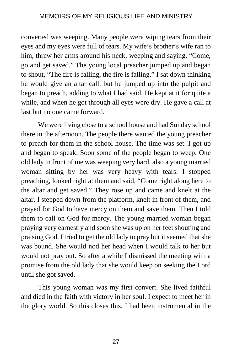converted was weeping. Many people were wiping tears from their eyes and my eyes were full of tears. My wife's brother's wife ran to him, threw her arms around his neck, weeping and saying, "Come, go and get saved." The young local preacher jumped up and began to shout, "The fire is falling, the fire is falling." I sat down thinking he would give an altar call, but he jumped up into the pulpit and began to preach, adding to what I had said. He kept at it for quite a while, and when he got through all eyes were dry. He gave a call at last but no one came forward.

We were living close to a school house and had Sunday school there in the afternoon. The people there wanted the young preacher to preach for them in the school house. The time was set. I got up and began to speak. Soon some of the people began to weep. One old lady in front of me was weeping very hard, also a young married woman sitting by her was very heavy with tears. I stopped preaching, looked right at them and said, "Come right along here to the altar and get saved." They rose up and came and knelt at the altar. I stepped down from the platform, knelt in front of them, and prayed for God to have mercy on them and save them. Then I told them to call on God for mercy. The young married woman began praying very earnestly and soon she was up on her feet shouting and praising God. I tried to get the old lady to pray but it seemed that she was bound. She would nod her head when I would talk to her but would not pray out. So after a while I dismissed the meeting with a promise from the old lady that she would keep on seeking the Lord until she got saved.

This young woman was my first convert. She lived faithful and died in the faith with victory in her soul. I expect to meet her in the glory world. So this closes this. I had been instrumental in the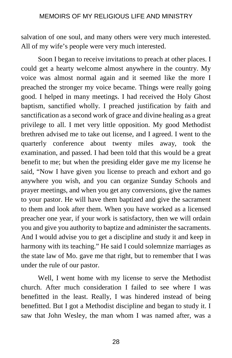salvation of one soul, and many others were very much interested. All of my wife's people were very much interested.

Soon I began to receive invitations to preach at other places. I could get a hearty welcome almost anywhere in the country. My voice was almost normal again and it seemed like the more I preached the stronger my voice became. Things were really going good. I helped in many meetings. I had received the Holy Ghost baptism, sanctified wholly. I preached justification by faith and sanctification as a second work of grace and divine healing as a great privilege to all. I met very little opposition. My good Methodist brethren advised me to take out license, and I agreed. I went to the quarterly conference about twenty miles away, took the examination, and passed. I had been told that this would be a great benefit to me; but when the presiding elder gave me my license he said, "Now I have given you license to preach and exhort and go anywhere you wish, and you can organize Sunday Schools and prayer meetings, and when you get any conversions, give the names to your pastor. He will have them baptized and give the sacrament to them and look after them. When you have worked as a licensed preacher one year, if your work is satisfactory, then we will ordain you and give you authority to baptize and administer the sacraments. And I would advise you to get a discipline and study it and keep in harmony with its teaching." He said I could solemnize marriages as the state law of Mo. gave me that right, but to remember that I was under the rule of our pastor.

Well, I went home with my license to serve the Methodist church. After much consideration I failed to see where I was benefitted in the least. Really, I was hindered instead of being benefitted. But I got a Methodist discipline and began to study it. I saw that John Wesley, the man whom I was named after, was a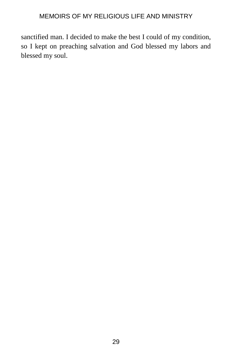sanctified man. I decided to make the best I could of my condition, so I kept on preaching salvation and God blessed my labors and blessed my soul.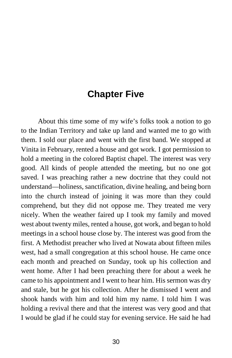# **Chapter Five**

About this time some of my wife's folks took a notion to go to the Indian Territory and take up land and wanted me to go with them. I sold our place and went with the first band. We stopped at Vinita in February, rented a house and got work. I got permission to hold a meeting in the colored Baptist chapel. The interest was very good. All kinds of people attended the meeting, but no one got saved. I was preaching rather a new doctrine that they could not understand—holiness, sanctification, divine healing, and being born into the church instead of joining it was more than they could comprehend, but they did not oppose me. They treated me very nicely. When the weather faired up I took my family and moved west about twenty miles, rented a house, got work, and began to hold meetings in a school house close by. The interest was good from the first. A Methodist preacher who lived at Nowata about fifteen miles west, had a small congregation at this school house. He came once each month and preached on Sunday, took up his collection and went home. After I had been preaching there for about a week he came to his appointment and I went to hear him. His sermon was dry and stale, but he got his collection. After he dismissed I went and shook hands with him and told him my name. I told him I was holding a revival there and that the interest was very good and that I would be glad if he could stay for evening service. He said he had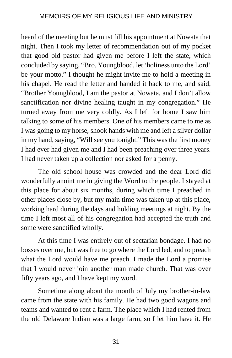heard of the meeting but he must fill his appointment at Nowata that night. Then I took my letter of recommendation out of my pocket that good old pastor had given me before I left the state, which concluded by saying, "Bro. Youngblood, let 'holiness unto the Lord' be your motto." I thought he might invite me to hold a meeting in his chapel. He read the letter and handed it back to me, and said, "Brother Youngblood, I am the pastor at Nowata, and I don't allow sanctification nor divine healing taught in my congregation." He turned away from me very coldly. As I left for home I saw him talking to some of his members. One of his members came to me as I was going to my horse, shook hands with me and left a silver dollar in my hand, saying, "Will see you tonight." This was the first money I had ever had given me and I had been preaching over three years. I had never taken up a collection nor asked for a penny.

The old school house was crowded and the dear Lord did wonderfully anoint me in giving the Word to the people. I stayed at this place for about six months, during which time I preached in other places close by, but my main time was taken up at this place, working hard during the days and holding meetings at night. By the time I left most all of his congregation had accepted the truth and some were sanctified wholly.

At this time I was entirely out of sectarian bondage. I had no bosses over me, but was free to go where the Lord led, and to preach what the Lord would have me preach. I made the Lord a promise that I would never join another man made church. That was over fifty years ago, and I have kept my word.

Sometime along about the month of July my brother-in-law came from the state with his family. He had two good wagons and teams and wanted to rent a farm. The place which I had rented from the old Delaware Indian was a large farm, so I let him have it. He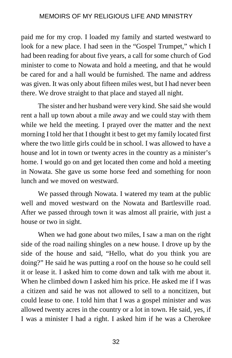paid me for my crop. I loaded my family and started westward to look for a new place. I had seen in the "Gospel Trumpet," which I had been reading for about five years, a call for some church of God minister to come to Nowata and hold a meeting, and that he would be cared for and a hall would be furnished. The name and address was given. It was only about fifteen miles west, but I had never been there. We drove straight to that place and stayed all night.

The sister and her husband were very kind. She said she would rent a hall up town about a mile away and we could stay with them while we held the meeting. I prayed over the matter and the next morning I told her that I thought it best to get my family located first where the two little girls could be in school. I was allowed to have a house and lot in town or twenty acres in the country as a minister's home. I would go on and get located then come and hold a meeting in Nowata. She gave us some horse feed and something for noon lunch and we moved on westward.

We passed through Nowata. I watered my team at the public well and moved westward on the Nowata and Bartlesville road. After we passed through town it was almost all prairie, with just a house or two in sight.

When we had gone about two miles, I saw a man on the right side of the road nailing shingles on a new house. I drove up by the side of the house and said, "Hello, what do you think you are doing?" He said he was putting a roof on the house so he could sell it or lease it. I asked him to come down and talk with me about it. When he climbed down I asked him his price. He asked me if I was a citizen and said he was not allowed to sell to a noncitizen, but could lease to one. I told him that I was a gospel minister and was allowed twenty acres in the country or a lot in town. He said, yes, if I was a minister I had a right. I asked him if he was a Cherokee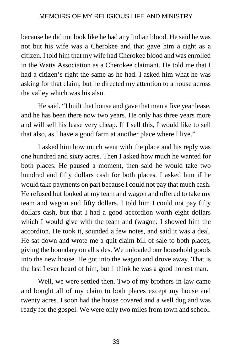because he did not look like he had any Indian blood. He said he was not but his wife was a Cherokee and that gave him a right as a citizen. I told him that my wife had Cherokee blood and was enrolled in the Watts Association as a Cherokee claimant. He told me that I had a citizen's right the same as he had. I asked him what he was asking for that claim, but he directed my attention to a house across the valley which was his also.

He said. "I built that house and gave that man a five year lease, and he has been there now two years. He only has three years more and will sell his lease very cheap. If I sell this, I would like to sell that also, as I have a good farm at another place where I live."

I asked him how much went with the place and his reply was one hundred and sixty acres. Then I asked how much he wanted for both places. He paused a moment, then said he would take two hundred and fifty dollars cash for both places. I asked him if he would take payments on part because I could not pay that much cash. He refused but looked at my team and wagon and offered to take my team and wagon and fifty dollars. I told him I could not pay fifty dollars cash, but that I had a good accordion worth eight dollars which I would give with the team and (wagon. I showed him the accordion. He took it, sounded a few notes, and said it was a deal. He sat down and wrote me a quit claim bill of sale to both places, giving the boundary on all sides. We unloaded our household goods into the new house. He got into the wagon and drove away. That is the last I ever heard of him, but 1 think he was a good honest man.

Well, we were settled then. Two of my brothers-in-law came and bought all of my claim to both places except my house and twenty acres. I soon had the house covered and a well dug and was ready for the gospel. We were only two miles from town and school.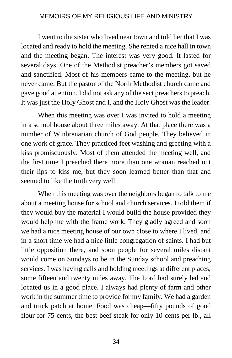I went to the sister who lived near town and told her that I was located and ready to hold the meeting. She rented a nice hall in town and the meeting began. The interest was very good. It lasted for several days. One of the Methodist preacher's members got saved and sanctified. Most of his members came to the meeting, but he never came. But the pastor of the North Methodist church came and gave good attention. I did not ask any of the sect preachers to preach. It was just the Holy Ghost and I, and the Holy Ghost was the leader.

When this meeting was over I was invited to hold a meeting in a school house about three miles away. At that place there was a number of Winbrenarian church of God people. They believed in one work of grace. They practiced feet washing and greeting with a kiss promiscuously. Most of them attended the meeting well, and the first time I preached there more than one woman reached out their lips to kiss me, but they soon learned better than that and seemed to like the truth very well.

When this meeting was over the neighbors began to talk to me about a meeting house for school and church services. I told them if they would buy the material I would build the house provided they would help me with the frame work. They gladly agreed and soon we had a nice meeting house of our own close to where I lived, and in a short time we had a nice little congregation of saints. I had but little opposition there, and soon people for several miles distant would come on Sundays to be in the Sunday school and preaching services. I was having calls and holding meetings at different places, some fifteen and twenty miles away. The Lord had surely led and located us in a good place. I always had plenty of farm and other work in the summer time to provide for my family. We had a garden and truck patch at home. Food was cheap—fifty pounds of good flour for 75 cents, the best beef steak for only 10 cents per lb., all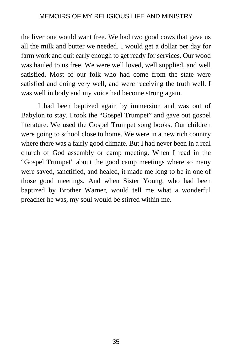the liver one would want free. We had two good cows that gave us all the milk and butter we needed. I would get a dollar per day for farm work and quit early enough to get ready for services. Our wood was hauled to us free. We were well loved, well supplied, and well satisfied. Most of our folk who had come from the state were satisfied and doing very well, and were receiving the truth well. I was well in body and my voice had become strong again.

I had been baptized again by immersion and was out of Babylon to stay. I took the "Gospel Trumpet" and gave out gospel literature. We used the Gospel Trumpet song books. Our children were going to school close to home. We were in a new rich country where there was a fairly good climate. But I had never been in a real church of God assembly or camp meeting. When I read in the "Gospel Trumpet" about the good camp meetings where so many were saved, sanctified, and healed, it made me long to be in one of those good meetings. And when Sister Young, who had been baptized by Brother Warner, would tell me what a wonderful preacher he was, my soul would be stirred within me.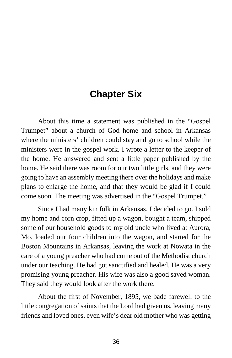# **Chapter Six**

About this time a statement was published in the "Gospel Trumpet" about a church of God home and school in Arkansas where the ministers' children could stay and go to school while the ministers were in the gospel work. I wrote a letter to the keeper of the home. He answered and sent a little paper published by the home. He said there was room for our two little girls, and they were going to have an assembly meeting there over the holidays and make plans to enlarge the home, and that they would be glad if I could come soon. The meeting was advertised in the "Gospel Trumpet."

Since I had many kin folk in Arkansas, I decided to go. I sold my home and corn crop, fitted up a wagon, bought a team, shipped some of our household goods to my old uncle who lived at Aurora, Mo. loaded our four children into the wagon, and started for the Boston Mountains in Arkansas, leaving the work at Nowata in the care of a young preacher who had come out of the Methodist church under our teaching. He had got sanctified and healed. He was a very promising young preacher. His wife was also a good saved woman. They said they would look after the work there.

About the first of November, 1895, we bade farewell to the little congregation of saints that the Lord had given us, leaving many friends and loved ones, even wife's dear old mother who was getting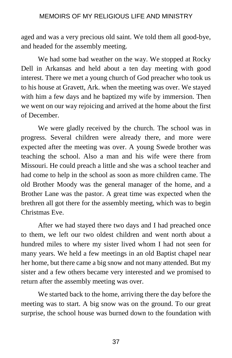aged and was a very precious old saint. We told them all good-bye, and headed for the assembly meeting.

We had some bad weather on the way. We stopped at Rocky Dell in Arkansas and held about a ten day meeting with good interest. There we met a young church of God preacher who took us to his house at Gravett, Ark. when the meeting was over. We stayed with him a few days and he baptized my wife by immersion. Then we went on our way rejoicing and arrived at the home about the first of December.

We were gladly received by the church. The school was in progress. Several children were already there, and more were expected after the meeting was over. A young Swede brother was teaching the school. Also a man and his wife were there from Missouri. He could preach a little and she was a school teacher and had come to help in the school as soon as more children came. The old Brother Moody was the general manager of the home, and a Brother Lane was the pastor. A great time was expected when the brethren all got there for the assembly meeting, which was to begin Christmas Eve.

After we had stayed there two days and I had preached once to them, we left our two oldest children and went north about a hundred miles to where my sister lived whom I had not seen for many years. We held a few meetings in an old Baptist chapel near her home, but there came a big snow and not many attended. But my sister and a few others became very interested and we promised to return after the assembly meeting was over.

We started back to the home, arriving there the day before the meeting was to start. A big snow was on the ground. To our great surprise, the school house was burned down to the foundation with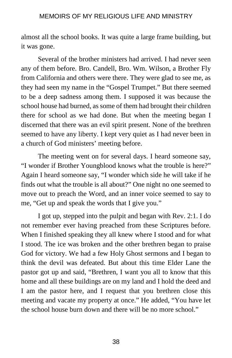almost all the school books. It was quite a large frame building, but it was gone.

Several of the brother ministers had arrived. I had never seen any of them before. Bro. Candell, Bro. Wm. Wilson, a Brother Fly from California and others were there. They were glad to see me, as they had seen my name in the "Gospel Trumpet." But there seemed to be a deep sadness among them. I supposed it was because the school house had burned, as some of them had brought their children there for school as we had done. But when the meeting began I discerned that there was an evil spirit present. None of the brethren seemed to have any liberty. I kept very quiet as I had never been in a church of God ministers' meeting before.

The meeting went on for several days. I heard someone say, "I wonder if Brother Youngblood knows what the trouble is here?" Again I heard someone say, "I wonder which side he will take if he finds out what the trouble is all about?" One night no one seemed to move out to preach the Word, and an inner voice seemed to say to me, "Get up and speak the words that I give you."

I got up, stepped into the pulpit and began with Rev. 2:1. I do not remember ever having preached from these Scriptures before. When I finished speaking they all knew where I stood and for what I stood. The ice was broken and the other brethren began to praise God for victory. We had a few Holy Ghost sermons and I began to think the devil was defeated. But about this time Elder Lane the pastor got up and said, "Brethren, I want you all to know that this home and all these buildings are on my land and I hold the deed and I am the pastor here, and I request that you brethren close this meeting and vacate my property at once." He added, "You have let the school house burn down and there will be no more school."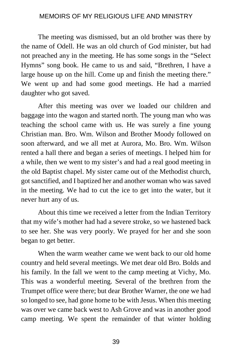The meeting was dismissed, but an old brother was there by the name of Odell. He was an old church of God minister, but had not preached any in the meeting. He has some songs in the "Select Hymns" song book. He came to us and said, "Brethren, I have a large house up on the hill. Come up and finish the meeting there." We went up and had some good meetings. He had a married daughter who got saved.

After this meeting was over we loaded our children and baggage into the wagon and started north. The young man who was teaching the school came with us. He was surely a fine young Christian man. Bro. Wm. Wilson and Brother Moody followed on soon afterward, and we all met at Aurora, Mo. Bro. Wm. Wilson rented a hall there and began a series of meetings. I helped him for a while, then we went to my sister's and had a real good meeting in the old Baptist chapel. My sister came out of the Methodist church, got sanctified, and I baptized her and another woman who was saved in the meeting. We had to cut the ice to get into the water, but it never hurt any of us.

About this time we received a letter from the Indian Territory that my wife's mother had had a severe stroke, so we hastened back to see her. She was very poorly. We prayed for her and she soon began to get better.

When the warm weather came we went back to our old home country and held several meetings. We met dear old Bro. Bolds and his family. In the fall we went to the camp meeting at Vichy, Mo. This was a wonderful meeting. Several of the brethren from the Trumpet office were there; but dear Brother Warner, the one we had so longed to see, had gone home to be with Jesus. When this meeting was over we came back west to Ash Grove and was in another good camp meeting. We spent the remainder of that winter holding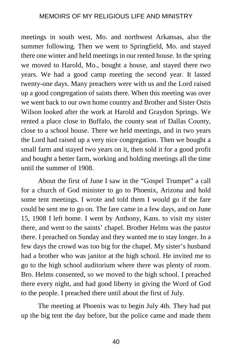meetings in south west, Mo. and northwest Arkansas, also the summer following. Then we went to Springfield, Mo. and stayed there one winter and held meetings in our rented house. In the spring we moved to Harold, Mo., bought a house, and stayed there two years. We had a good camp meeting the second year. It lasted twenty-one days. Many preachers were with us and the Lord raised up a good congregation of saints there. When this meeting was over we went back to our own home country and Brother and Sister Ostis Wilson looked after the work at Harold and Graydon Springs. We rented a place close to Buffalo, the county seat of Dallas County, close to a school house. There we held meetings, and in two years the Lord had raised up a very nice congregation. Then we bought a small farm and stayed two years on it, then sold it for a good profit and bought a better farm, working and holding meetings all the time until the summer of 1908.

About the first of June I saw in the "Gospel Trumpet" a call for a church of God minister to go to Phoenix, Arizona and hold some tent meetings. I wrote and told them I would go if the fare could be sent me to go on. The fare came in a few days, and on June 15, 1908 I left home. I went by Anthony, Kans. to visit my sister there, and went to the saints' chapel. Brother Helms was the pastor there. I preached on Sunday and they wanted me to stay longer. In a few days the crowd was too big for the chapel. My sister's husband had a brother who was janitor at the high school. He invited me to go to the high school auditorium where there was plenty of room. Bro. Helms consented, so we moved to the high school. I preached there every night, and had good liberty in giving the Word of God to the people. I preached there until about the first of July.

The meeting at Phoenix was to begin July 4th. They had put up the big tent the day before, but the police came and made them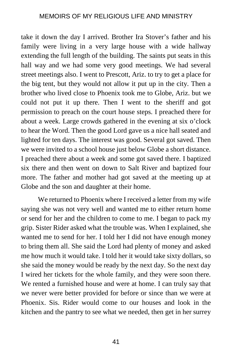take it down the day I arrived. Brother Ira Stover's father and his family were living in a very large house with a wide hallway extending the full length of the building. The saints put seats in this hall way and we had some very good meetings. We had several street meetings also. I went to Prescott, Ariz. to try to get a place for the big tent, but they would not allow it put up in the city. Then a brother who lived close to Phoenix took me to Globe, Ariz. but we could not put it up there. Then I went to the sheriff and got permission to preach on the court house steps. I preached there for about a week. Large crowds gathered in the evening at six o'clock to hear the Word. Then the good Lord gave us a nice hall seated and lighted for ten days. The interest was good. Several got saved. Then we were invited to a school house just below Globe a short distance. I preached there about a week and some got saved there. I baptized six there and then went on down to Salt River and baptized four more. The father and mother had got saved at the meeting up at Globe and the son and daughter at their home.

We returned to Phoenix where I received a letter from my wife saying she was not very well and wanted me to either return home or send for her and the children to come to me. I began to pack my grip. Sister Rider asked what the trouble was. When I explained, she wanted me to send for her. I told her I did not have enough money to bring them all. She said the Lord had plenty of money and asked me how much it would take. I told her it would take sixty dollars, so she said the money would be ready by the next day. So the next day I wired her tickets for the whole family, and they were soon there. We rented a furnished house and were at home. I can truly say that we never were better provided for before or since than we were at Phoenix. Sis. Rider would come to our houses and look in the kitchen and the pantry to see what we needed, then get in her surrey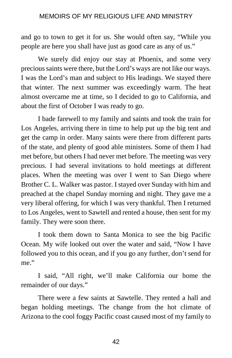and go to town to get it for us. She would often say, "While you people are here you shall have just as good care as any of us."

We surely did enjoy our stay at Phoenix, and some very precious saints were there, but the Lord's ways are not like our ways. I was the Lord's man and subject to His leadings. We stayed there that winter. The next summer was exceedingly warm. The heat almost overcame me at time, so I decided to go to California, and about the first of October I was ready to go.

I bade farewell to my family and saints and took the train for Los Angeles, arriving there in time to help put up the big tent and get the camp in order. Many saints were there from different parts of the state, and plenty of good able ministers. Some of them I had met before, but others I had never met before. The meeting was very precious. I had several invitations to hold meetings at different places. When the meeting was over I went to San Diego where Brother C. L. Walker was pastor. I stayed over Sunday with him and preached at the chapel Sunday morning and night. They gave me a very liberal offering, for which I was very thankful. Then I returned to Los Angeles, went to Sawtell and rented a house, then sent for my family. They were soon there.

I took them down to Santa Monica to see the big Pacific Ocean. My wife looked out over the water and said, "Now I have followed you to this ocean, and if you go any further, don't send for me."

I said, "All right, we'll make California our home the remainder of our days."

There were a few saints at Sawtelle. They rented a hall and began holding meetings. The change from the hot climate of Arizona to the cool foggy Pacific coast caused most of my family to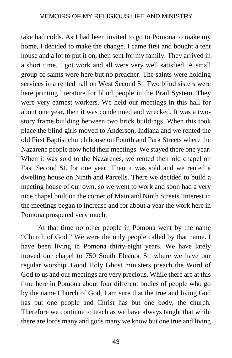take bad colds. As I had been invited to go to Pomona to make my home, I decided to make the change. I came first and bought a tent house and a lot to put it on, then sent for my family. They arrived in a short time. I got work and all were very well satisfied. A small group of saints were here but no preacher. The saints were holding services in a rented hall on West Second St. Two blind sisters were here printing literature for blind people in the Brail System. They were very earnest workers. We held our meetings in this hall for about one year, then it was condemned and wrecked. It was a twostory frame building between two brick buildings. When this took place the blind girls moved to Anderson, Indiana and we rented the old First Baptist church house on Fourth and Park Streets where the Nazarene people now hold their meetings. We stayed there one year. When it was sold to the Nazarenes, we rented their old chapel on East Second St. for one year. Then it was sold and we rented a dwelling house on Ninth and Parcells. There we decided to build a meeting house of our own, so we went to work and soon had a very nice chapel built on the corner of Main and Ninth Streets. Interest in the meetings began to increase and for about a year the work here in Pomona prospered very much.

At that time no other people in Pomona went by the name "Church of God." We were the only people called by that name. I have been living in Pomona thirty-eight years. We have lately moved our chapel to 750 South Eleanor St. where we have our regular worship. Good Holy Ghost ministers preach the Word of God to us and our meetings are very precious. While there are at this time here in Pomona about four different bodies of people who go by the name Church of God, I am sure that the true and living God has but one people and Christ has but one body, the church. Therefore we continue to teach as we have always taught that while there are lords many and gods many we know but one true and living

43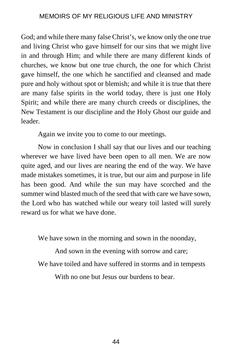God; and while there many false Christ's, we know only the one true and living Christ who gave himself for our sins that we might live in and through Him; and while there are many different kinds of churches, we know but one true church, the one for which Christ gave himself, the one which he sanctified and cleansed and made pure and holy without spot or blemish; and while it is true that there are many false spirits in the world today, there is just one Holy Spirit; and while there are many church creeds or disciplines, the New Testament is our discipline and the Holy Ghost our guide and leader.

Again we invite you to come to our meetings.

Now in conclusion I shall say that our lives and our teaching wherever we have lived have been open to all men. We are now quite aged, and our lives are nearing the end of the way. We have made mistakes sometimes, it is true, but our aim and purpose in life has been good. And while the sun may have scorched and the summer wind blasted much of the seed that with care we have sown, the Lord who has watched while our weary toil lasted will surely reward us for what we have done.

We have sown in the morning and sown in the noonday,

And sown in the evening with sorrow and care;

We have toiled and have suffered in storms and in tempests

With no one but Jesus our burdens to bear.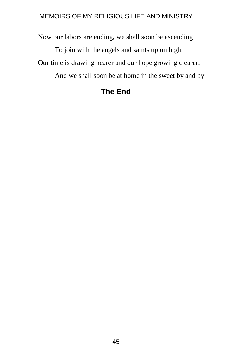Now our labors are ending, we shall soon be ascending

To join with the angels and saints up on high.

Our time is drawing nearer and our hope growing clearer,

And we shall soon be at home in the sweet by and by.

# **The End**